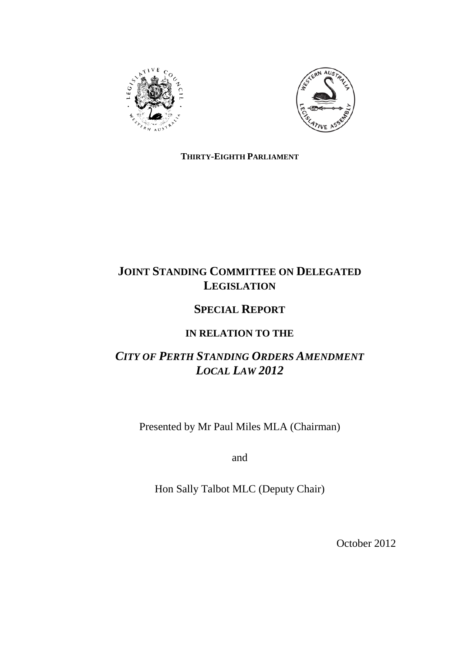



### **THIRTY-EIGHTH PARLIAMENT**

# **JOINT STANDING COMMITTEE ON DELEGATED LEGISLATION**

# **SPECIAL REPORT**

## **IN RELATION TO THE**

# *CITY OF PERTH STANDING ORDERS AMENDMENT LOCAL LAW 2012*

Presented by Mr Paul Miles MLA (Chairman)

and

Hon Sally Talbot MLC (Deputy Chair)

October 2012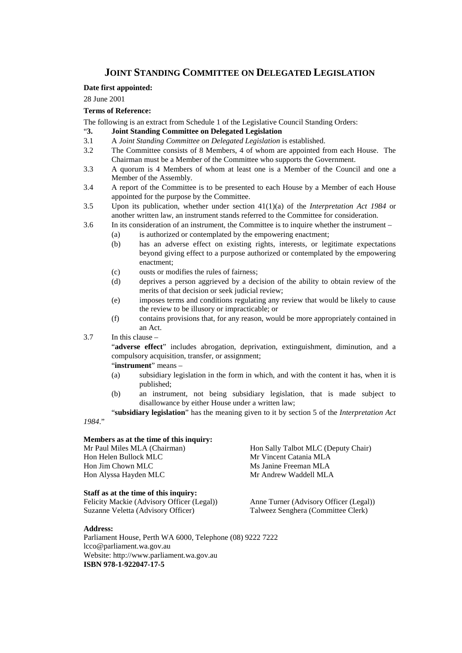### **JOINT STANDING COMMITTEE ON DELEGATED LEGISLATION**

#### **Date first appointed:**

28 June 2001

#### **Terms of Reference:**

The following is an extract from Schedule 1 of the Legislative Council Standing Orders:

- "**3. Joint Standing Committee on Delegated Legislation**
- 3.1 A *Joint Standing Committee on Delegated Legislation* is established.
- 3.2 The Committee consists of 8 Members, 4 of whom are appointed from each House. The Chairman must be a Member of the Committee who supports the Government.
- 3.3 A quorum is 4 Members of whom at least one is a Member of the Council and one a Member of the Assembly.
- 3.4 A report of the Committee is to be presented to each House by a Member of each House appointed for the purpose by the Committee.
- 3.5 Upon its publication, whether under section 41(1)(a) of the *Interpretation Act 1984* or another written law, an instrument stands referred to the Committee for consideration.
- 3.6 In its consideration of an instrument, the Committee is to inquire whether the instrument
	- (a) is authorized or contemplated by the empowering enactment;
	- (b) has an adverse effect on existing rights, interests, or legitimate expectations beyond giving effect to a purpose authorized or contemplated by the empowering enactment;
	- (c) ousts or modifies the rules of fairness;
	- (d) deprives a person aggrieved by a decision of the ability to obtain review of the merits of that decision or seek judicial review;
	- (e) imposes terms and conditions regulating any review that would be likely to cause the review to be illusory or impracticable; or
	- (f) contains provisions that, for any reason, would be more appropriately contained in an Act.
- 3.7 In this clause –

"**adverse effect**" includes abrogation, deprivation, extinguishment, diminution, and a compulsory acquisition, transfer, or assignment;

- "**instrument**" means –
- (a) subsidiary legislation in the form in which, and with the content it has, when it is published;
- (b) an instrument, not being subsidiary legislation, that is made subject to disallowance by either House under a written law;

"**subsidiary legislation**" has the meaning given to it by section 5 of the *Interpretation Act 1984*."

#### **Members as at the time of this inquiry:**

Hon Helen Bullock MLC Mr Vincent Catania MLA Hon Jim Chown MLC<br>
Hon Alyssa Hayden MLC<br>
Mr Andrew Waddell MLA Hon Alyssa Hayden MLC

#### **Staff as at the time of this inquiry:**

Felicity Mackie (Advisory Officer (Legal)) Anne Turner (Advisory Officer (Legal)) Suzanne Veletta (Advisory Officer) Talweez Senghera (Committee Clerk)

Mr Paul Miles MLA (Chairman) Hon Sally Talbot MLC (Deputy Chair)

#### **Address:**

Parliament House, Perth WA 6000, Telephone (08) 9222 7222 lcco@parliament.wa.gov.au Website: http://www.parliament.wa.gov.au **ISBN 978-1-922047-17-5**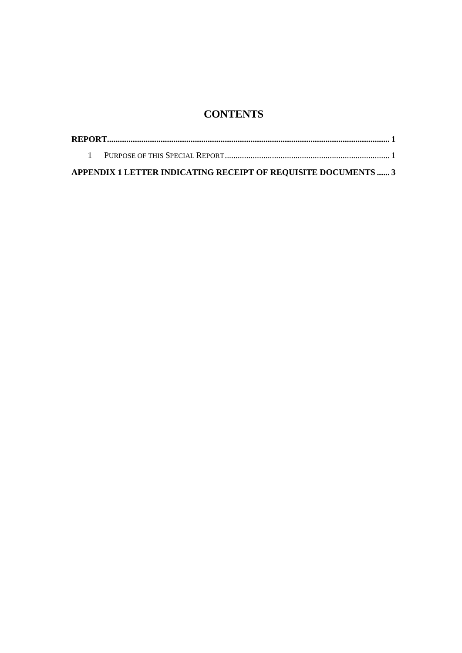## **CONTENTS**

| APPENDIX 1 LETTER INDICATING RECEIPT OF REQUISITE DOCUMENTS  3 |  |
|----------------------------------------------------------------|--|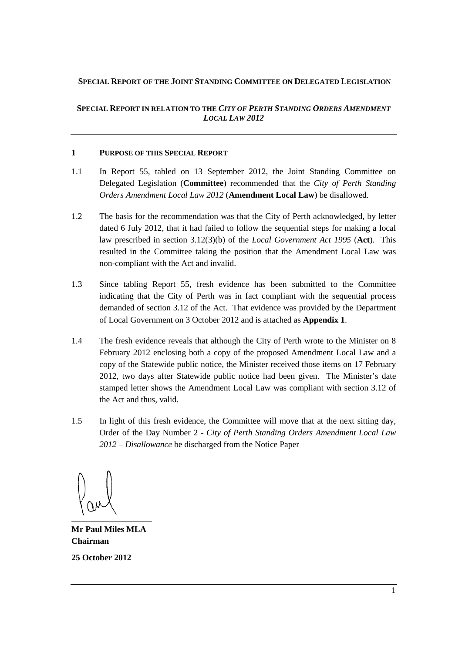### **SPECIAL REPORT OF THE JOINT STANDING COMMITTEE ON DELEGATED LEGISLATION**

**SPECIAL REPORT IN RELATION TO THE** *CITY OF PERTH STANDING ORDERS AMENDMENT LOCAL LAW 2012*

#### **1 PURPOSE OF THIS SPECIAL REPORT**

- 1.1 In Report 55, tabled on 13 September 2012, the Joint Standing Committee on Delegated Legislation (**Committee**) recommended that the *City of Perth Standing Orders Amendment Local Law 2012* (**Amendment Local Law**) be disallowed.
- 1.2 The basis for the recommendation was that the City of Perth acknowledged, by letter dated 6 July 2012, that it had failed to follow the sequential steps for making a local law prescribed in section 3.12(3)(b) of the *Local Government Act 1995* (**Act**). This resulted in the Committee taking the position that the Amendment Local Law was non-compliant with the Act and invalid.
- 1.3 Since tabling Report 55, fresh evidence has been submitted to the Committee indicating that the City of Perth was in fact compliant with the sequential process demanded of section 3.12 of the Act. That evidence was provided by the Department of Local Government on 3 October 2012 and is attached as **Appendix 1**.
- 1.4 The fresh evidence reveals that although the City of Perth wrote to the Minister on 8 February 2012 enclosing both a copy of the proposed Amendment Local Law and a copy of the Statewide public notice, the Minister received those items on 17 February 2012, two days after Statewide public notice had been given. The Minister's date stamped letter shows the Amendment Local Law was compliant with section 3.12 of the Act and thus, valid.
- 1.5 In light of this fresh evidence, the Committee will move that at the next sitting day, Order of the Day Number 2 - *City of Perth Standing Orders Amendment Local Law 2012 – Disallowance* be discharged from the Notice Paper

**Mr Paul Miles MLA Chairman**

**25 October 2012**